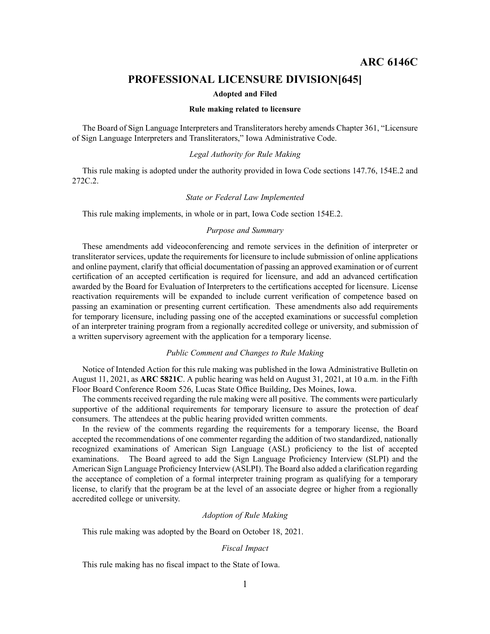# **PROFESSIONAL LICENSURE DIVISION[645]**

### **Adopted and Filed**

### **Rule making related to licensure**

The Board of Sign Language Interpreters and Transliterators hereby amends Chapter 361, "Licensure of Sign Language Interpreters and Transliterators," Iowa Administrative Code.

## *Legal Authority for Rule Making*

This rule making is adopted under the authority provided in Iowa Code sections 147.76, 154E.2 and 272C.2.

## *State or Federal Law Implemented*

This rule making implements, in whole or in part, Iowa Code section 154E.2.

## *Purpose and Summary*

These amendments add videoconferencing and remote services in the definition of interpreter or transliterator services, update the requirements for licensure to include submission of online applications and online payment, clarify that official documentation of passing an approved examination or of current certification of an accepted certification is required for licensure, and add an advanced certification awarded by the Board for Evaluation of Interpreters to the certifications accepted for licensure. License reactivation requirements will be expanded to include current verification of competence based on passing an examination or presenting current certification. These amendments also add requirements for temporary licensure, including passing one of the accepted examinations or successful completion of an interpreter training program from <sup>a</sup> regionally accredited college or university, and submission of <sup>a</sup> written supervisory agreemen<sup>t</sup> with the application for <sup>a</sup> temporary license.

## *Public Comment and Changes to Rule Making*

Notice of Intended Action for this rule making was published in the Iowa Administrative Bulletin on August 11, 2021, as **ARC 5821C**. Apublic hearing was held on August 31, 2021, at 10 a.m. in the Fifth Floor Board Conference Room 526, Lucas State Office Building, Des Moines, Iowa.

The comments received regarding the rule making were all positive. The comments were particularly supportive of the additional requirements for temporary licensure to assure the protection of deaf consumers. The attendees at the public hearing provided written comments.

In the review of the comments regarding the requirements for <sup>a</sup> temporary license, the Board accepted the recommendations of one commenter regarding the addition of two standardized, nationally recognized examinations of American Sign Language (ASL) proficiency to the list of accepted examinations. The Board agreed to add the Sign Language Proficiency Interview (SLPI) and the American Sign Language Proficiency Interview (ASLPI). The Board also added <sup>a</sup> clarification regarding the acceptance of completion of <sup>a</sup> formal interpreter training program as qualifying for <sup>a</sup> temporary license, to clarify that the program be at the level of an associate degree or higher from <sup>a</sup> regionally accredited college or university.

## *Adoption of Rule Making*

This rule making was adopted by the Board on October 18, 2021.

## *Fiscal Impact*

This rule making has no fiscal impact to the State of Iowa.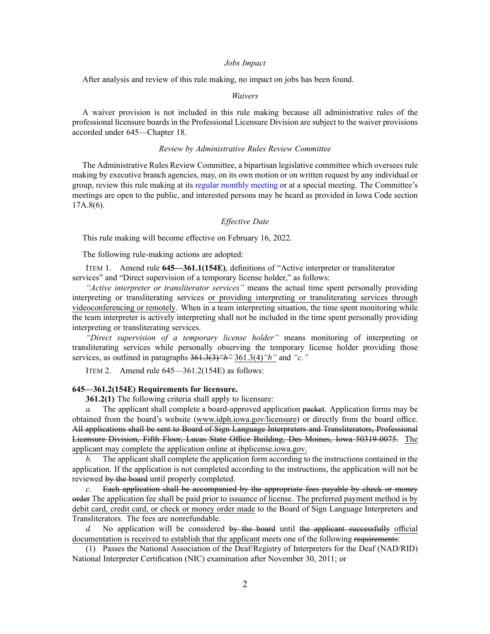### *Jobs Impact*

After analysis and review of this rule making, no impact on jobs has been found.

### *Waivers*

A waiver provision is not included in this rule making because all administrative rules of the professional licensure boards in the Professional Licensure Division are subject to the waiver provisions accorded under 645—Chapter 18.

### *Review by Administrative Rules Review Committee*

The Administrative Rules Review Committee, <sup>a</sup> bipartisan legislative committee which oversees rule making by executive branch agencies, may, on its own motion or on written reques<sup>t</sup> by any individual or group, review this rule making at its regular [monthly](https://www.legis.iowa.gov/committees/meetings/meetingsListComm?groupID=705&ga=89) meeting or at <sup>a</sup> special meeting. The Committee's meetings are open to the public, and interested persons may be heard as provided in Iowa Code section 17A.8(6).

## *Effective Date*

This rule making will become effective on February 16, 2022.

The following rule-making actions are adopted:

ITEM 1. Amend rule **645—361.1(154E)**, definitions of "Active interpreter or transliterator services" and "Direct supervision of a temporary license holder," as follows:

*"Active interpreter or transliterator services"* means the actual time spen<sup>t</sup> personally providing interpreting or transliterating services or providing interpreting or transliterating services through videoconferencing or remotely. When in <sup>a</sup> team interpreting situation, the time spen<sup>t</sup> monitoring while the team interpreter is actively interpreting shall not be included in the time spen<sup>t</sup> personally providing interpreting or transliterating services.

*"Direct supervision of <sup>a</sup> temporary license holder"* means monitoring of interpreting or transliterating services while personally observing the temporary license holder providing those services, as outlined in paragraphs [361.3\(3\)](https://www.legis.iowa.gov/docs/iac/rule/645.361.3.pdf)*"b"* [361.3\(4\)](https://www.legis.iowa.gov/docs/iac/rule/645.361.3.pdf)*"b"* and *"c."*

ITEM 2. Amend rule 645—361.2(154E) as follows:

### **645—361.2(154E) Requirements for licensure.**

**361.2(1)** The following criteria shall apply to licensure:

*a.* The applicant shall complete <sup>a</sup> board-approved application packet. Application forms may be obtained from the board's website ([www.idph.iowa.gov/licensure](http://www.idph.iowa.gov/licensure)) or directly from the board office. All applications shall be sent to Board of Sign Language Interpreters and Transliterators, Professional Licensure Division, Fifth Floor, Lucas State Office Building, Des Moines, Iowa 50319-0075. The applicant may complete the application online at [ibplicense.iowa.gov](http://ibplicense.iowa.gov).

*b.* The applicant shall complete the application form according to the instructions contained in the application. If the application is not completed according to the instructions, the application will not be reviewed by the board until properly completed.

Each application shall be accompanied by the appropriate fees payable by check or money order The application fee shall be paid prior to issuance of license. The preferred paymen<sup>t</sup> method is by debit card, credit card, or check or money order made to the Board of Sign Language Interpreters and Transliterators. The fees are nonrefundable.

*d.* No application will be considered by the board until the applicant successfully official documentation is received to establish that the applicant meets one of the following requirements:

(1) Passes the National Association of the Deaf/Registry of Interpreters for the Deaf (NAD/RID) National Interpreter Certification (NIC) examination after November 30, 2011; or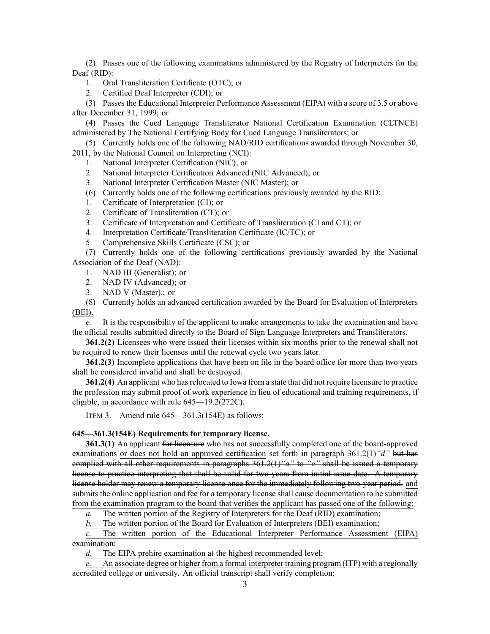(2) Passes one of the following examinations administered by the Registry of Interpreters for the Deaf (RID):

## 1. Oral Transliteration Certificate (OTC); or

2. Certified Deaf Interpreter (CDI); or

(3) Passes the Educational Interpreter Performance Assessment (EIPA) with <sup>a</sup> score of 3.5 or above after December 31, 1999; or

(4) Passes the Cued Language Transliterator National Certification Examination (CLTNCE) administered by The National Certifying Body for Cued Language Transliterators; or

(5) Currently holds one of the following NAD/RID certifications awarded through November 30, 2011, by the National Council on Interpreting (NCI):

- 1. National Interpreter Certification (NIC); or
- 2. National Interpreter Certification Advanced (NIC Advanced); or
- 3. National Interpreter Certification Master (NIC Master); or
- (6) Currently holds one of the following certifications previously awarded by the RID:
- 1. Certificate of Interpretation (CI); or
- 2. Certificate of Transliteration (CT); or
- 3. Certificate of Interpretation and Certificate of Transliteration (CI and CT); or
- 4. Interpretation Certificate/Transliteration Certificate (IC/TC); or
- 5. Comprehensive Skills Certificate (CSC); or

(7) Currently holds one of the following certifications previously awarded by the National Association of the Deaf (NAD):

- 1. NAD III (Generalist); or
- 2. NAD IV (Advanced); or
- 3. NAD V (Master).; or

(8) Currently holds an advanced certification awarded by the Board for Evaluation of Interpreters (BEI).

*e.* It is the responsibility of the applicant to make arrangements to take the examination and have the official results submitted directly to the Board of Sign Language Interpreters and Transliterators.

**361.2(2)** Licensees who were issued their licenses within six months prior to the renewal shall not be required to renew their licenses until the renewal cycle two years later.

**361.2(3)** Incomplete applications that have been on file in the board office for more than two years shall be considered invalid and shall be destroyed.

**361.2(4)** An applicant who hasrelocated to Iowa from <sup>a</sup> state that did not require licensure to practice the profession may submit proof of work experience in lieu of educational and training requirements, if eligible, in accordance with rule [645—19.2\(](https://www.legis.iowa.gov/docs/iac/rule/645.19.2.pdf)272C).

ITEM 3. Amend rule 645—361.3(154E) as follows:

## **645—361.3(154E) Requirements for temporary license.**

**361.3(1)** An applicant for licensure who has not successfully completed one of the board-approved examinations or does not hold an approved certification set forth in paragraph [361.2\(1\)](https://www.legis.iowa.gov/docs/iac/rule/645.361.2.pdf)*"d"* but has complied with all other requirements in paragraphs [361.2\(1\)](https://www.legis.iowa.gov/docs/iac/rule/645.361.2.pdf)*"a"* to *"c"* shall be issued <sup>a</sup> temporary license to practice interpreting that shall be valid for two years from initial issue date. A temporary license holder may renew <sup>a</sup> temporary license once for the immediately following two-year period. and submits the online application and fee for <sup>a</sup> temporary license shall cause documentation to be submitted from the examination program to the board that verifies the applicant has passed one of the following:

*a.* The written portion of the Registry of Interpreters for the Deaf (RID) examination;

*b.* The written portion of the Board for Evaluation of Interpreters (BEI) examination;

*c.* The written portion of the Educational Interpreter Performance Assessment (EIPA) examination;

*d.* The EIPA prehire examination at the highest recommended level;

*e.* An associate degree or higher from <sup>a</sup> formal interpreter training program (ITP) with <sup>a</sup> regionally accredited college or university. An official transcript shall verify completion;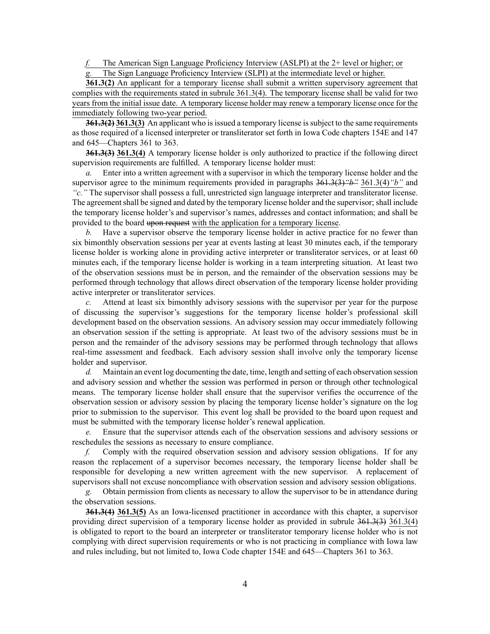*f.* The American Sign Language Proficiency Interview (ASLPI) at the 2+ level or higher; or

The Sign Language Proficiency Interview (SLPI) at the intermediate level or higher.

**361.3(2)** An applicant for <sup>a</sup> temporary license shall submit <sup>a</sup> written supervisory agreemen<sup>t</sup> that complies with the requirements stated in subrule [361.3\(4\)](https://www.legis.iowa.gov/docs/iac/rule/645.361.3.pdf). The temporary license shall be valid for two years from the initial issue date. A temporary license holder may renew <sup>a</sup> temporary license once for the immediately following two-year period.

**361.3(2) 361.3(3)** An applicant who is issued a temporary license is subject to the same requirements as those required of <sup>a</sup> licensed interpreter or transliterator set forth in Iowa Code chapters [154E](https://www.legis.iowa.gov/docs/ico/chapter/2016/154E.pdf) and [147](https://www.legis.iowa.gov/docs/ico/chapter/2016/147.pdf) and [645—Chapters](https://www.legis.iowa.gov/docs/iac/chapter/645.361.pdf) 361 to [363](https://www.legis.iowa.gov/docs/iac/chapter/645.363.pdf).

**361.3(3) 361.3(4)** A temporary license holder is only authorized to practice if the following direct supervision requirements are fulfilled. A temporary license holder must:

*a.* Enter into <sup>a</sup> written agreemen<sup>t</sup> with <sup>a</sup> supervisor in which the temporary license holder and the supervisor agree to the minimum requirements provided in paragraphs [361.3\(3\)](https://www.legis.iowa.gov/docs/iac/rule/645.361.3.pdf)*"b"* 361.3(4)*"b"* and *["c."](https://www.legis.iowa.gov/docs/iac/rule/645.361.3.pdf)* The supervisor shall possess <sup>a</sup> full, unrestricted sign language interpreter and transliterator license. The agreement shall be signed and dated by the temporary license holder and the supervisor; shall include the temporary license holder's and supervisor's names, addresses and contact information; and shall be provided to the board upon request with the application for a temporary license.

*b.* Have <sup>a</sup> supervisor observe the temporary license holder in active practice for no fewer than six bimonthly observation sessions per year at events lasting at least 30 minutes each, if the temporary license holder is working alone in providing active interpreter or transliterator services, or at least 60 minutes each, if the temporary license holder is working in <sup>a</sup> team interpreting situation. At least two of the observation sessions must be in person, and the remainder of the observation sessions may be performed through technology that allows direct observation of the temporary license holder providing active interpreter or transliterator services.

*c.* Attend at least six bimonthly advisory sessions with the supervisor per year for the purpose of discussing the supervisor's suggestions for the temporary license holder's professional skill development based on the observation sessions. An advisory session may occur immediately following an observation session if the setting is appropriate. At least two of the advisory sessions must be in person and the remainder of the advisory sessions may be performed through technology that allows real-time assessment and feedback. Each advisory session shall involve only the temporary license holder and supervisor.

*d.* Maintain an event log documenting the date, time, length and setting of each observation session and advisory session and whether the session was performed in person or through other technological means. The temporary license holder shall ensure that the supervisor verifies the occurrence of the observation session or advisory session by placing the temporary license holder's signature on the log prior to submission to the supervisor. This event log shall be provided to the board upon reques<sup>t</sup> and must be submitted with the temporary license holder's renewal application.

*e.* Ensure that the supervisor attends each of the observation sessions and advisory sessions or reschedules the sessions as necessary to ensure compliance.

*f.* Comply with the required observation session and advisory session obligations. If for any reason the replacement of <sup>a</sup> supervisor becomes necessary, the temporary license holder shall be responsible for developing <sup>a</sup> new written agreemen<sup>t</sup> with the new supervisor. A replacement of supervisors shall not excuse noncompliance with observation session and advisory session obligations.

*g.* Obtain permission from clients as necessary to allow the supervisor to be in attendance during the observation sessions.

**361.3(4) 361.3(5)** As an Iowa-licensed practitioner in accordance with this chapter, <sup>a</sup> supervisor providing direct supervision of a temporary license holder as provided in subrule  $361.3(3)$  [361.3\(4\)](https://www.legis.iowa.gov/docs/iac/rule/645.361.3.pdf) is obligated to repor<sup>t</sup> to the board an interpreter or transliterator temporary license holder who is not complying with direct supervision requirements or who is not practicing in compliance with Iowa law and rules including, but not limited to, Iowa Code chapter [154E](https://www.legis.iowa.gov/docs/ico/chapter/2016/154E.pdf) and [645—Chapters](https://www.legis.iowa.gov/docs/iac/chapter/645.361.pdf) 361 to [363](https://www.legis.iowa.gov/docs/iac/chapter/645.363.pdf).